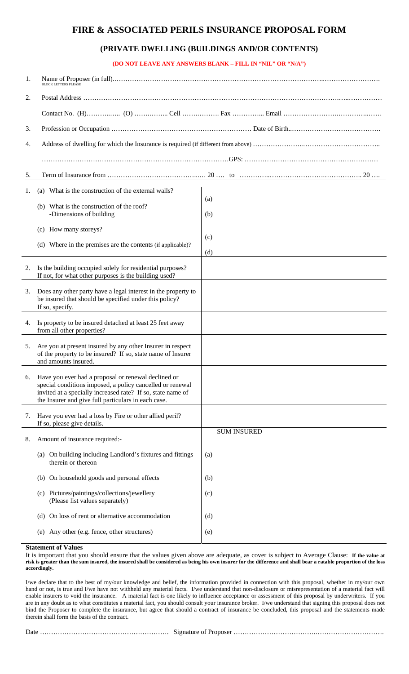## **FIRE & ASSOCIATED PERILS INSURANCE PROPOSAL FORM**

## **(PRIVATE DWELLING (BUILDINGS AND/OR CONTENTS)**

**(DO NOT LEAVE ANY ANSWERS BLANK – FILL IN "NIL" OR "N/A")** 

| 1. | BLOCK LETTERS PLEASE                                                                                                                                                                                                                   |                    |  |  |  |  |  |  |  |
|----|----------------------------------------------------------------------------------------------------------------------------------------------------------------------------------------------------------------------------------------|--------------------|--|--|--|--|--|--|--|
| 2. |                                                                                                                                                                                                                                        |                    |  |  |  |  |  |  |  |
|    |                                                                                                                                                                                                                                        |                    |  |  |  |  |  |  |  |
| 3. |                                                                                                                                                                                                                                        |                    |  |  |  |  |  |  |  |
| 4. |                                                                                                                                                                                                                                        |                    |  |  |  |  |  |  |  |
|    |                                                                                                                                                                                                                                        |                    |  |  |  |  |  |  |  |
| 5. |                                                                                                                                                                                                                                        |                    |  |  |  |  |  |  |  |
| 1. | (a) What is the construction of the external walls?                                                                                                                                                                                    |                    |  |  |  |  |  |  |  |
|    | What is the construction of the roof?<br>(b)                                                                                                                                                                                           | (a)                |  |  |  |  |  |  |  |
|    | -Dimensions of building                                                                                                                                                                                                                | (b)                |  |  |  |  |  |  |  |
|    | (c) How many storeys?                                                                                                                                                                                                                  | (c)                |  |  |  |  |  |  |  |
|    | (d) Where in the premises are the contents (if applicable)?                                                                                                                                                                            | (d)                |  |  |  |  |  |  |  |
| 2. | Is the building occupied solely for residential purposes?<br>If not, for what other purposes is the building used?                                                                                                                     |                    |  |  |  |  |  |  |  |
| 3. | Does any other party have a legal interest in the property to<br>be insured that should be specified under this policy?<br>If so, specify.                                                                                             |                    |  |  |  |  |  |  |  |
| 4. | Is property to be insured detached at least 25 feet away<br>from all other properties?                                                                                                                                                 |                    |  |  |  |  |  |  |  |
| 5. | Are you at present insured by any other Insurer in respect<br>of the property to be insured? If so, state name of Insurer<br>and amounts insured.                                                                                      |                    |  |  |  |  |  |  |  |
| 6. | Have you ever had a proposal or renewal declined or<br>special conditions imposed, a policy cancelled or renewal<br>invited at a specially increased rate? If so, state name of<br>the Insurer and give full particulars in each case. |                    |  |  |  |  |  |  |  |
| 7. | Have you ever had a loss by Fire or other allied peril?<br>If so, please give details.                                                                                                                                                 |                    |  |  |  |  |  |  |  |
| 8. | Amount of insurance required:-                                                                                                                                                                                                         | <b>SUM INSURED</b> |  |  |  |  |  |  |  |
|    | (a) On building including Landlord's fixtures and fittings<br>therein or thereon                                                                                                                                                       | (a)                |  |  |  |  |  |  |  |
|    | (b) On household goods and personal effects                                                                                                                                                                                            | (b)                |  |  |  |  |  |  |  |
|    | (c) Pictures/paintings/collections/jewellery<br>(Please list values separately)                                                                                                                                                        | (c)                |  |  |  |  |  |  |  |
|    | On loss of rent or alternative accommodation<br>(d)                                                                                                                                                                                    | (d)                |  |  |  |  |  |  |  |
|    | Any other (e.g. fence, other structures)<br>(e)                                                                                                                                                                                        | (e)                |  |  |  |  |  |  |  |

## **Statement of Values**

It is important that you should ensure that the values given above are adequate, as cover is subject to Average Clause: **If the value at risk is greater than the sum insured, the insured shall be considered as being his own insurer for the difference and shall bear a ratable proportion of the loss accordingly.** 

I/we declare that to the best of my/our knowledge and belief, the information provided in connection with this proposal, whether in my/our own hand or not, is true and I/we have not withheld any material facts. I/we understand that non-disclosure or misrepresentation of a material fact will enable insurers to void the insurance. A material fact is one likely to influence acceptance or assessment of this proposal by underwriters. If you are in any doubt as to what constitutes a material fact, you should consult your insurance broker. I/we understand that signing this proposal does not bind the Proposer to complete the insurance, but agree that should a contract of insurance be concluded, this proposal and the statements made therein shall form the basis of the contract.

|--|--|